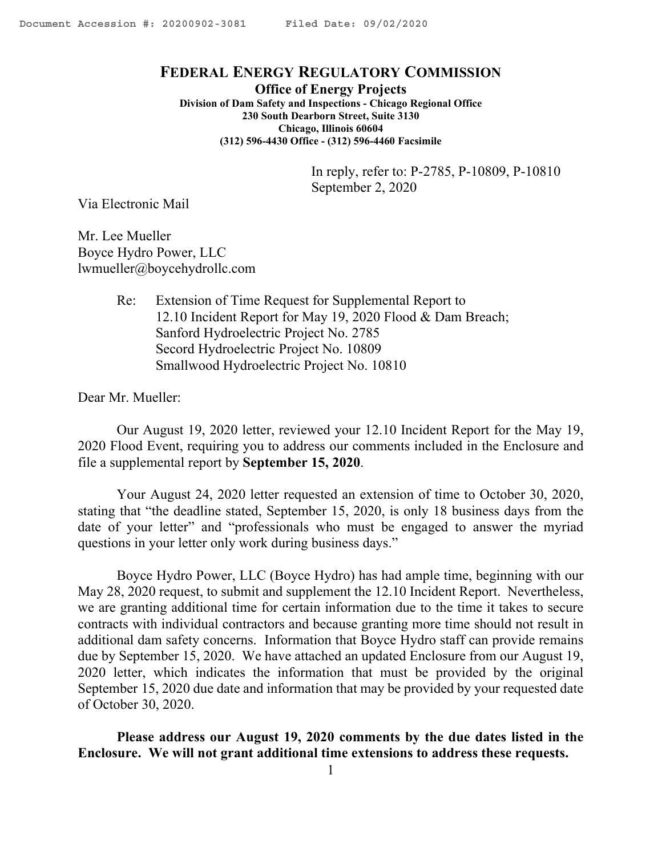#### <span id="page-0-0"></span>**FEDERAL ENERGY REGULATORY COMMISSION**

**Office of Energy Projects Division of Dam Safety and Inspections - Chicago Regional Office 230 South Dearborn Street, Suite 3130 Chicago, Illinois 60604 (312) 596-4430 Office - (312) 596-4460 Facsimile**

> In reply, refer to: P-2785, P-10809, P-10810 September 2, 2020

Via Electronic Mail

Mr. Lee Mueller Boyce Hydro Power, LLC lwmueller@boycehydrollc.com

> Re: Extension of Time Request for Supplemental Report to 12.10 Incident Report for May 19, 2020 Flood & Dam Breach; Sanford Hydroelectric Project No. 2785 Secord Hydroelectric Project No. 10809 Smallwood Hydroelectric Project No. 10810

Dear Mr. Mueller:

Our August 19, 2020 letter, reviewed your 12.10 Incident Report for the May 19, 2020 Flood Event, requiring you to address our comments included in the Enclosure and file a supplemental report by **September 15, 2020**.

Your August 24, 2020 letter requested an extension of time to October 30, 2020, stating that "the deadline stated, September 15, 2020, is only 18 business days from the date of your letter" and "professionals who must be engaged to answer the myriad questions in your letter only work during business days."

Boyce Hydro Power, LLC (Boyce Hydro) has had ample time, beginning with our May 28, 2020 request, to submit and supplement the 12.10 Incident Report. Nevertheless, we are granting additional time for certain information due to the time it takes to secure contracts with individual contractors and because granting more time should not result in additional dam safety concerns. Information that Boyce Hydro staff can provide remains due by September 15, 2020. We have attached an updated Enclosure from our August 19, 2020 letter, which indicates the information that must be provided by the original September 15, 2020 due date and information that may be provided by your requested date of October 30, 2020.

**Please address our August 19, 2020 comments by the due dates listed in the Enclosure. We will not grant additional time extensions to address these requests.**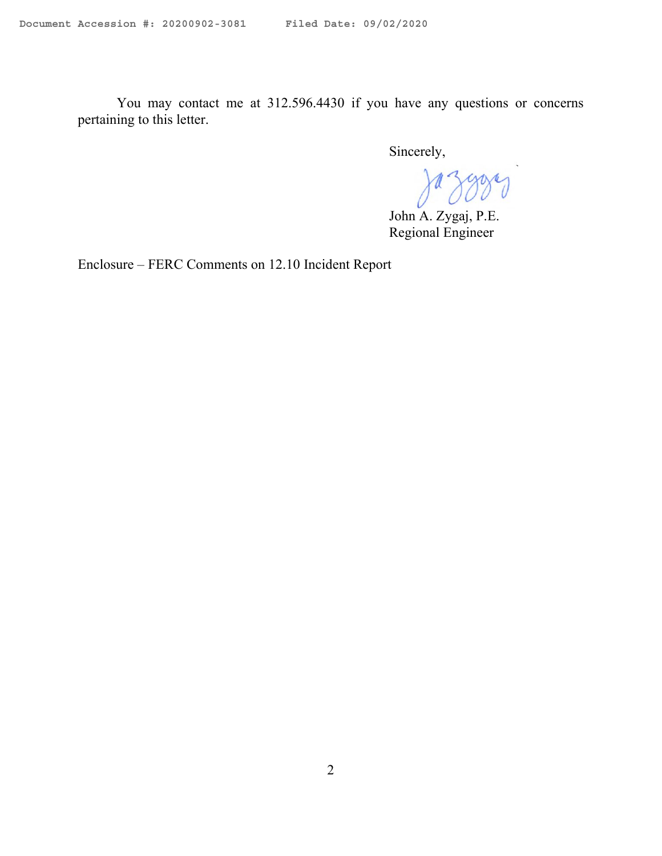You may contact me at 312.596.4430 if you have any questions or concerns pertaining to this letter.

Sincerely,

Jazgory

John A. Zygaj, P.E. Regional Engineer

Enclosure – FERC Comments on 12.10 Incident Report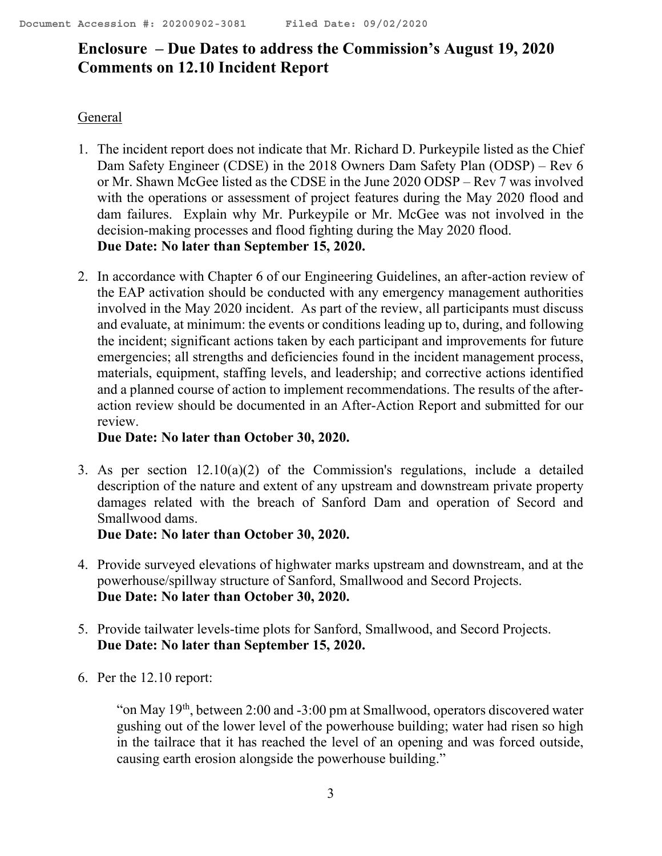# **Enclosure – Due Dates to address the Commission's August 19, 2020 Comments on 12.10 Incident Report**

#### General

- 1. The incident report does not indicate that Mr. Richard D. Purkeypile listed as the Chief Dam Safety Engineer (CDSE) in the 2018 Owners Dam Safety Plan (ODSP) – Rev 6 or Mr. Shawn McGee listed as the CDSE in the June 2020 ODSP – Rev 7 was involved with the operations or assessment of project features during the May 2020 flood and dam failures. Explain why Mr. Purkeypile or Mr. McGee was not involved in the decision-making processes and flood fighting during the May 2020 flood. **Due Date: No later than September 15, 2020.**
- 2. In accordance with Chapter 6 of our Engineering Guidelines, an after-action review of the EAP activation should be conducted with any emergency management authorities involved in the May 2020 incident. As part of the review, all participants must discuss and evaluate, at minimum: the events or conditions leading up to, during, and following the incident; significant actions taken by each participant and improvements for future emergencies; all strengths and deficiencies found in the incident management process, materials, equipment, staffing levels, and leadership; and corrective actions identified and a planned course of action to implement recommendations. The results of the afteraction review should be documented in an After-Action Report and submitted for our review.

### **Due Date: No later than October 30, 2020.**

3. As per section 12.10(a)(2) of the Commission's regulations, include a detailed description of the nature and extent of any upstream and downstream private property damages related with the breach of Sanford Dam and operation of Secord and Smallwood dams.

**Due Date: No later than October 30, 2020.**

- 4. Provide surveyed elevations of highwater marks upstream and downstream, and at the powerhouse/spillway structure of Sanford, Smallwood and Secord Projects. **Due Date: No later than October 30, 2020.**
- 5. Provide tailwater levels-time plots for Sanford, Smallwood, and Secord Projects. **Due Date: No later than September 15, 2020.**
- 6. Per the 12.10 report:

"on May 19<sup>th</sup>, between 2:00 and -3:00 pm at Smallwood, operators discovered water gushing out of the lower level of the powerhouse building; water had risen so high in the tailrace that it has reached the level of an opening and was forced outside, causing earth erosion alongside the powerhouse building."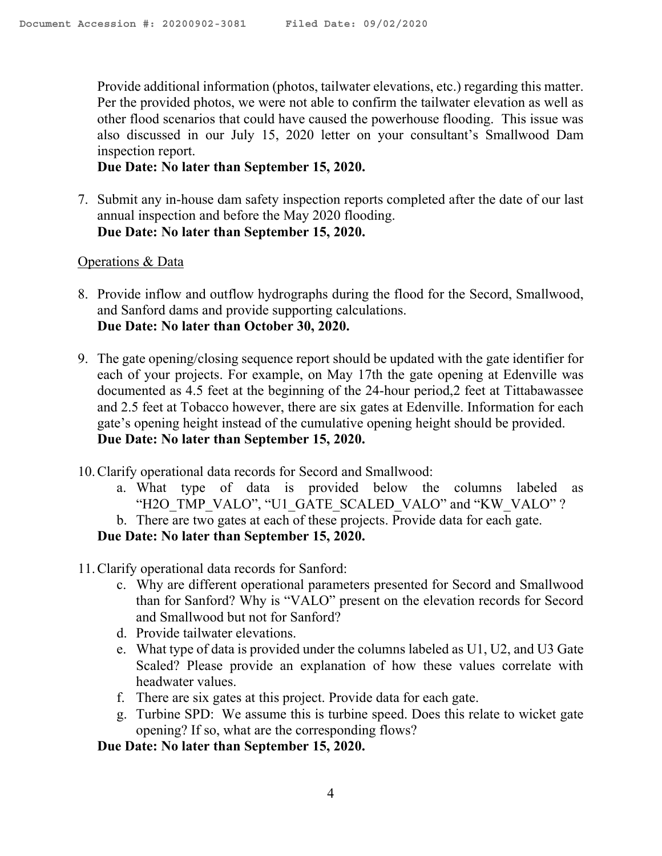Provide additional information (photos, tailwater elevations, etc.) regarding this matter. Per the provided photos, we were not able to confirm the tailwater elevation as well as other flood scenarios that could have caused the powerhouse flooding. This issue was also discussed in our July 15, 2020 letter on your consultant's Smallwood Dam inspection report.

#### **Due Date: No later than September 15, 2020.**

7. Submit any in-house dam safety inspection reports completed after the date of our last annual inspection and before the May 2020 flooding. **Due Date: No later than September 15, 2020.**

#### Operations & Data

- 8. Provide inflow and outflow hydrographs during the flood for the Secord, Smallwood, and Sanford dams and provide supporting calculations. **Due Date: No later than October 30, 2020.**
- 9. The gate opening/closing sequence report should be updated with the gate identifier for each of your projects. For example, on May 17th the gate opening at Edenville was documented as 4.5 feet at the beginning of the 24-hour period,2 feet at Tittabawassee and 2.5 feet at Tobacco however, there are six gates at Edenville. Information for each gate's opening height instead of the cumulative opening height should be provided. **Due Date: No later than September 15, 2020.**
- 10.Clarify operational data records for Secord and Smallwood:
	- a. What type of data is provided below the columns labeled as "H2O\_TMP\_VALO", "U1\_GATE\_SCALED\_VALO" and "KW\_VALO" ?
	- b. There are two gates at each of these projects. Provide data for each gate.

## **Due Date: No later than September 15, 2020.**

- 11.Clarify operational data records for Sanford:
	- c. Why are different operational parameters presented for Secord and Smallwood than for Sanford? Why is "VALO" present on the elevation records for Secord and Smallwood but not for Sanford?
	- d. Provide tailwater elevations.
	- e. What type of data is provided under the columns labeled as U1, U2, and U3 Gate Scaled? Please provide an explanation of how these values correlate with headwater values.
	- f. There are six gates at this project. Provide data for each gate.
	- g. Turbine SPD: We assume this is turbine speed. Does this relate to wicket gate opening? If so, what are the corresponding flows?

## **Due Date: No later than September 15, 2020.**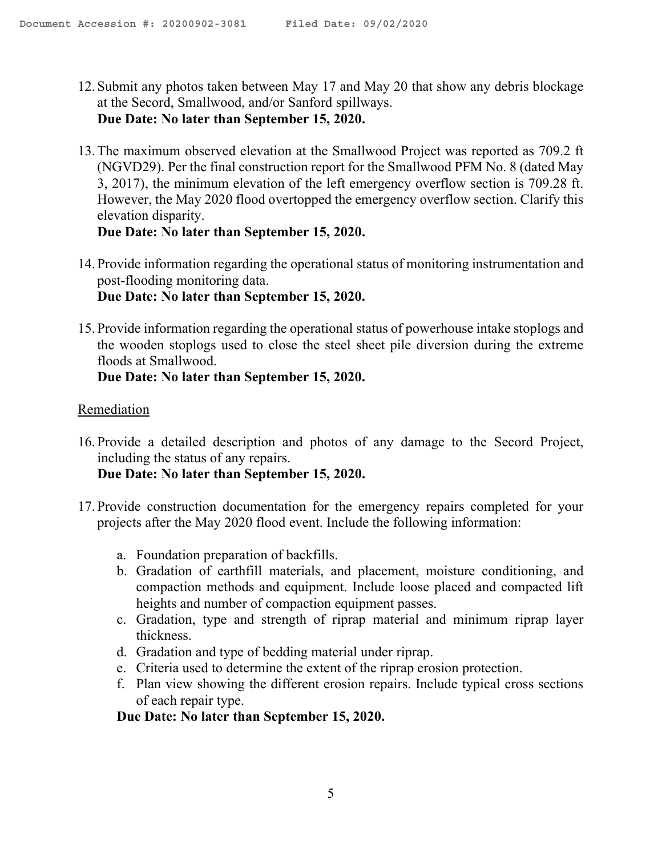- 12. Submit any photos taken between May 17 and May 20 that show any debris blockage at the Secord, Smallwood, and/or Sanford spillways. **Due Date: No later than September 15, 2020.**
- 13.The maximum observed elevation at the Smallwood Project was reported as 709.2 ft (NGVD29). Per the final construction report for the Smallwood PFM No. 8 (dated May 3, 2017), the minimum elevation of the left emergency overflow section is 709.28 ft. However, the May 2020 flood overtopped the emergency overflow section. Clarify this elevation disparity.

**Due Date: No later than September 15, 2020.**

- 14. Provide information regarding the operational status of monitoring instrumentation and post-flooding monitoring data. **Due Date: No later than September 15, 2020.**
- 15. Provide information regarding the operational status of powerhouse intake stoplogs and the wooden stoplogs used to close the steel sheet pile diversion during the extreme floods at Smallwood.

**Due Date: No later than September 15, 2020.**

#### **Remediation**

16. Provide a detailed description and photos of any damage to the Secord Project, including the status of any repairs.

**Due Date: No later than September 15, 2020.**

- 17. Provide construction documentation for the emergency repairs completed for your projects after the May 2020 flood event. Include the following information:
	- a. Foundation preparation of backfills.
	- b. Gradation of earthfill materials, and placement, moisture conditioning, and compaction methods and equipment. Include loose placed and compacted lift heights and number of compaction equipment passes.
	- c. Gradation, type and strength of riprap material and minimum riprap layer thickness.
	- d. Gradation and type of bedding material under riprap.
	- e. Criteria used to determine the extent of the riprap erosion protection.
	- f. Plan view showing the different erosion repairs. Include typical cross sections of each repair type.

**Due Date: No later than September 15, 2020.**